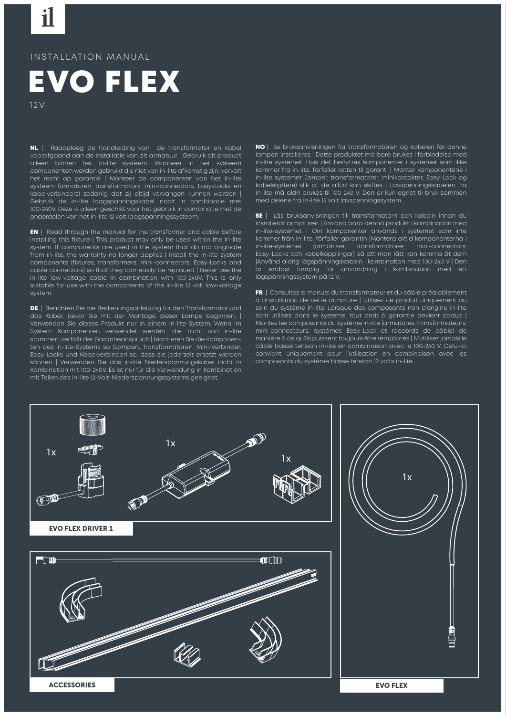## INSTALLATION MANUAL



12V

NL | Raadpleeg de handleiding van de transformator en kabel voorafgaand aan de installatie van dit armatuur | Gebruik dit product alleen binnen het in-lite systeem. Wanneer in het systeem componenten worden gebruikt die niet van in-lite afkomstig zijn, vervalt het recht op garantie | Monteer de componenten van het in-lite systeem (armaturen, transformators, mini-connectors, Easy-Locks en kabelverbinders) zodanig dat zij altijd vervangen kunnen worden | Gebruik de in-lite laagspanningskabel nooit in combinatie met 100-240V. Deze is alleen geschikt voor het gebruik in combinatie met de onderdelen van het in-lite 12 volt laagspanningssysteem.

EN | Read through the manual for the transformer and cable before installing this fixture | This product may only be used within the in-lite system. If components are used in the system that do not originate from in-lite, the warranty no longer applies | Install the in-lite system components (fixtures, transformers, mini-connectors, Easy-Locks and cable connectors) so that they can easily be replaced | Never use the in-lite low-voltage cable in combination with 100-240V. This is only suitable for use with the components of the in-lite 12 volt low-voltage system.

DE | Beachten Sie die Bedienungsanleitung für den Transformator und das Kabel, bevor Sie mit der Montage dieser Lampe beginnen. | Verwenden Sie dieses Produkt nur in einem in-lite-System. Wenn im System Komponenten verwendet werden, die nicht von in-lite stammen, veällt der Garantieanspruch | Montieren Sie die Komponenten des in-lite-Systems so (Lampen, Transformatoren, Mini-Verbinder, Easy-Locks und Kabelverbinder) so, dass sie jederzeit ersetzt werden können | Verwenden Sie das in-lite Niederspannungskabel nicht in Kombination mit 100-240V. Es ist nur für die Verwendung in Kombination mit Teilen des in-lite 12-Volt-Niederspannungssystems geeignet.

NO | Se bruksanvisningen for transformatoren og kabelen før denne lampen installeres | Dette produktet må bare brukes i forbindelse med in-lite systemet. Hvis det benyttes komponenter i systemet som ikke kommer fra in-lite, forfaller retten til garanti | Monter komponentene i in-lite systemet (lamper, transformatorer, minikontakter, Easy-Lock og kabelskjøtere) slik at de alltid kan skiftes | Lavspenningskabelen fra in-lite må aldri brukes til 100-240 V. Den er kun egnet til bruk sammen med delene fra in-lite 12 volt lavspenningssystem.

SE | Läs bruksanvisningen till transformatorn och kabeln innan du installerar armaturen | Använd bara denna produkt i kombination med in-lite-systemet | Om komponenter används i systemet som inte kommer från in-lite, förfaller garantin | Montera alltid komponenterna i in-lite-systemet (armaturer, transformatorer, mini-connectors, Easy-Locks och kabelkopplingar) så att man lätt kan komma åt dem |Använd aldrig lågspänningskabeln i kombination med 100-240 V | Den är endast lämplig för användning i kombination med ett lågspänningssystem på 12 V.

FR | Consultez le manuel du transformateur et du câble préalablement à l'installation de cette armature | Utilisez ce produit uniquement au sein du système in-lite. Lorsque des composants non d'origine in-lite sont utilisés dans le système, tout droit à garantie devient caduc | Montez les composants du système in-lite (armatures, transformateurs, mini-connecteurs, systèmes Easy-Lock et raccords de câble) de manière à ce qu'ils puissent toujours être remplacés | N'utilisez jamais le câble basse tension in-lite en combinaison avec le 100-240 V. Celui-ci convient uniquement pour l'utilisation en combinaison avec les composants du système basse tension 12 volts in-lite.

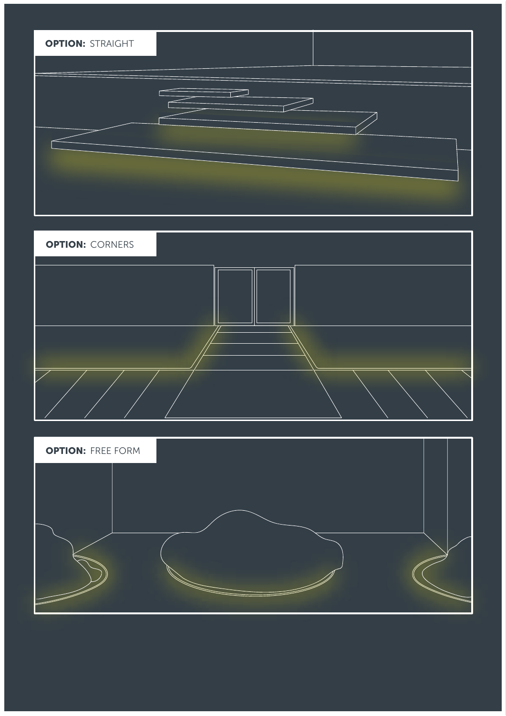



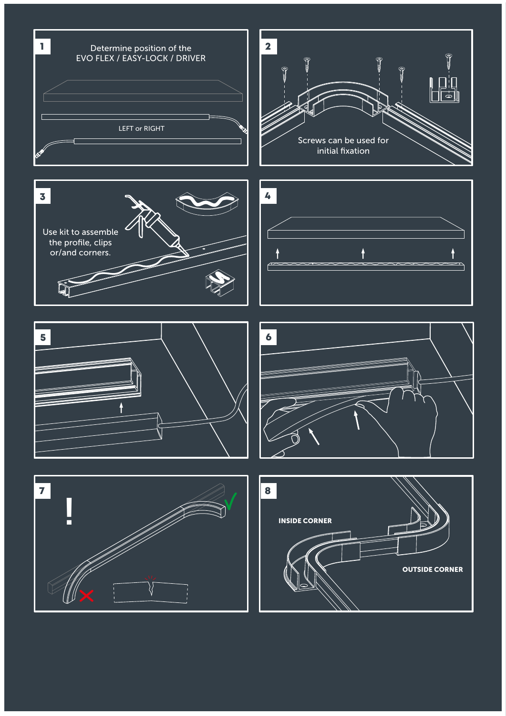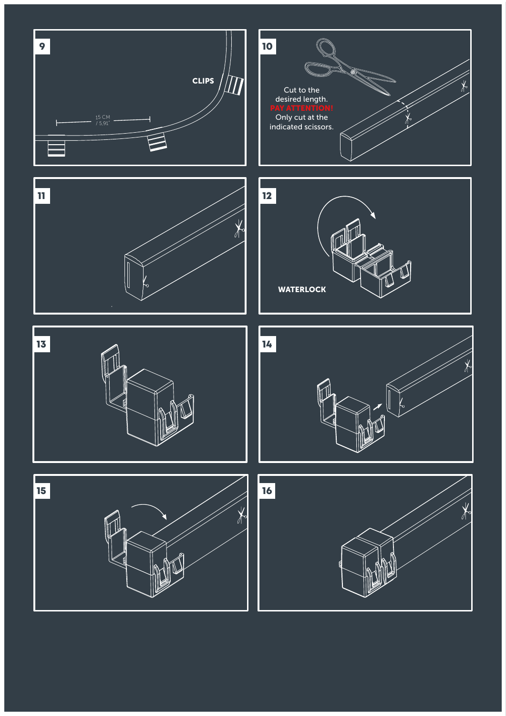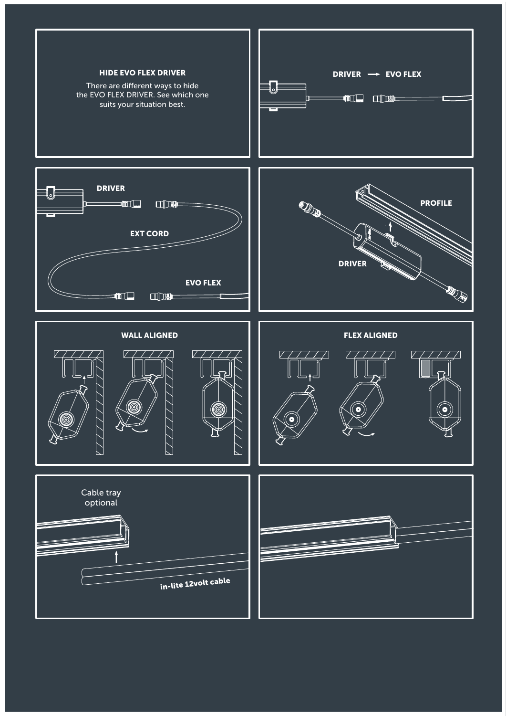